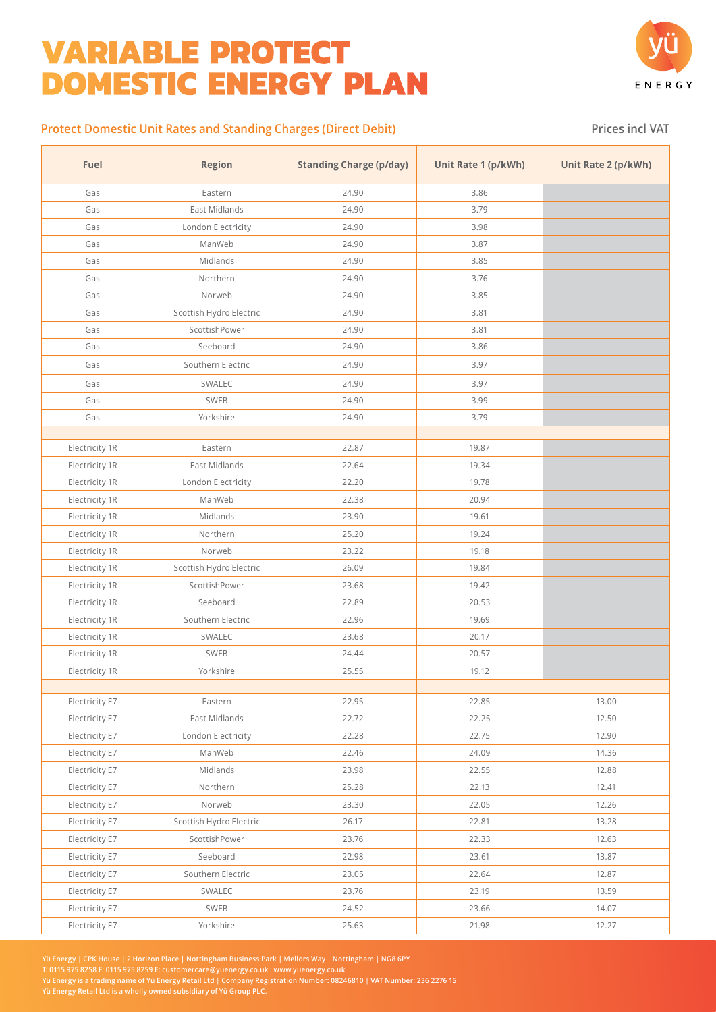## **VARIABLE PROTECT DOMESTIC ENERGY PLAN**



## **Protect Domestic Unit Rates and Standing Charges (Direct Debit) Prices inclusted Prices inclusted VAT**

| Fuel           | <b>Region</b>           | <b>Standing Charge (p/day)</b> | Unit Rate 1 (p/kWh) | Unit Rate 2 (p/kWh) |
|----------------|-------------------------|--------------------------------|---------------------|---------------------|
| Gas            | Eastern                 | 24.90                          | 3.86                |                     |
| Gas            | East Midlands           | 24.90                          | 3.79                |                     |
| Gas            | London Electricity      | 24.90                          | 3.98                |                     |
| Gas            | ManWeb                  | 24.90                          | 3.87                |                     |
| Gas            | Midlands                | 24.90                          | 3.85                |                     |
| Gas            | Northern                | 24.90                          | 3.76                |                     |
| Gas            | Norweb                  | 24.90                          | 3.85                |                     |
| Gas            | Scottish Hydro Electric | 24.90                          | 3.81                |                     |
| Gas            | ScottishPower           | 24.90                          | 3.81                |                     |
| Gas            | Seeboard                | 24.90                          | 3.86                |                     |
| Gas            | Southern Electric       | 24.90                          | 3.97                |                     |
| Gas            | SWALEC                  | 24.90                          | 3.97                |                     |
| Gas            | SWEB                    | 24.90                          | 3.99                |                     |
| Gas            | Yorkshire               | 24.90                          | 3.79                |                     |
|                |                         |                                |                     |                     |
| Electricity 1R | Eastern                 | 22.87                          | 19.87               |                     |
| Electricity 1R | East Midlands           | 22.64                          | 19.34               |                     |
| Electricity 1R | London Electricity      | 22.20                          | 19.78               |                     |
| Electricity 1R | ManWeb                  | 22.38                          | 20.94               |                     |
| Electricity 1R | Midlands                | 23.90                          | 19.61               |                     |
| Electricity 1R | Northern                | 25.20                          | 19.24               |                     |
| Electricity 1R | Norweb                  | 23.22                          | 19.18               |                     |
| Electricity 1R | Scottish Hydro Electric | 26.09                          | 19.84               |                     |
| Electricity 1R | ScottishPower           | 23.68                          | 19.42               |                     |
| Electricity 1R | Seeboard                | 22.89                          | 20.53               |                     |
| Electricity 1R | Southern Electric       | 22.96                          | 19.69               |                     |
| Electricity 1R | SWALEC                  | 23.68                          | 20.17               |                     |
| Electricity 1R | SWEB                    | 24.44                          | 20.57               |                     |
| Electricity 1R | Yorkshire               | 25.55                          | 19.12               |                     |
|                |                         |                                |                     |                     |
| Electricity E7 | Eastern                 | 22.95                          | 22.85               | 13.00               |
| Electricity E7 | East Midlands           | 22.72                          | 22.25               | 12.50               |
| Electricity E7 | London Electricity      | 22.28                          | 22.75               | 12.90               |
| Electricity E7 | ManWeb                  | 22.46                          | 24.09               | 14.36               |
| Electricity E7 | Midlands                | 23.98                          | 22.55               | 12.88               |
| Electricity E7 | Northern                | 25.28                          | 22.13               | 12.41               |
| Electricity E7 | Norweb                  | 23.30                          | 22.05               | 12.26               |
| Electricity E7 | Scottish Hydro Electric | 26.17                          | 22.81               | 13.28               |
| Electricity E7 | ScottishPower           | 23.76                          | 22.33               | 12.63               |
| Electricity E7 | Seeboard                | 22.98                          | 23.61               | 13.87               |
| Electricity E7 | Southern Electric       | 23.05                          | 22.64               | 12.87               |
| Electricity E7 | SWALEC                  | 23.76                          | 23.19               | 13.59               |
| Electricity E7 | SWEB                    | 24.52                          | 23.66               | 14.07               |
| Electricity E7 | Yorkshire               | 25.63                          | 21.98               | 12.27               |

**Yü Energy | CPK House | 2 Horizon Place | Nottingham Business Park | Mellors Way | Nottingham | NG8 6PY**

**T: 0115 975 8258 F: 0115 975 8259 E: customercare@yuenergy.co.uk : www.yuenergy.co.uk**

**Yü Energy is a trading name of Yü Energy Retail Ltd | Company Registration Number: 08246810 | VAT Number: 236 2276 15**

**Yü Energy Retail Ltd is a wholly owned subsidiary of Yü Group PLC.**